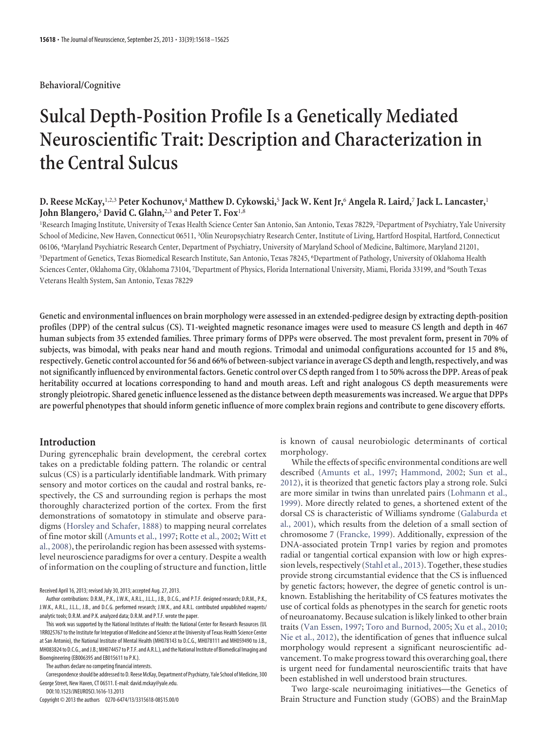## **Behavioral/Cognitive**

# **Sulcal Depth-Position Profile Is a Genetically Mediated Neuroscientific Trait: Description and Characterization in the Central Sulcus**

## **D. Reese McKay,**1,2,3 **Peter Kochunov,**<sup>4</sup> **Matthew D. Cykowski,**<sup>5</sup> **Jack W. Kent Jr,**<sup>6</sup> **Angela R. Laird,**<sup>7</sup> **Jack L. Lancaster,**<sup>1</sup> **John Blangero,**<sup>5</sup> **David C. Glahn,**2,3 **and Peter T. Fox**1,8

<sup>1</sup>Research Imaging Institute, University of Texas Health Science Center San Antonio, San Antonio, Texas 78229, <sup>2</sup>Department of Psychiatry, Yale University School of Medicine, New Haven, Connecticut 06511, <sup>3</sup> Olin Neuropsychiatry Research Center, Institute of Living, Hartford Hospital, Hartford, Connecticut 06106, <sup>4</sup> Maryland Psychiatric Research Center, Department of Psychiatry, University of Maryland School of Medicine, Baltimore, Maryland 21201, 5 Department of Genetics, Texas Biomedical Research Institute, San Antonio, Texas 78245, <sup>6</sup> Department of Pathology, University of Oklahoma Health Sciences Center, Oklahoma City, Oklahoma 73104, <sup>7</sup> Department of Physics, Florida International University, Miami, Florida 33199, and <sup>8</sup> South Texas Veterans Health System, San Antonio, Texas 78229

**Genetic and environmental influences on brain morphology were assessed in an extended-pedigree design by extracting depth-position profiles (DPP) of the central sulcus (CS). T1-weighted magnetic resonance images were used to measure CS length and depth in 467 human subjects from 35 extended families. Three primary forms of DPPs were observed. The most prevalent form, present in 70% of subjects, was bimodal, with peaks near hand and mouth regions. Trimodal and unimodal configurations accounted for 15 and 8%, respectively. Genetic control accounted for 56 and 66% of between-subject variance in average CS depth and length, respectively, and was not significantly influenced by environmental factors. Genetic control over CS depth ranged from 1 to 50% across the DPP. Areas of peak heritability occurred at locations corresponding to hand and mouth areas. Left and right analogous CS depth measurements were strongly pleiotropic. Shared genetic influence lessened as the distance between depth measurements was increased. We argue that DPPs are powerful phenotypes that should inform genetic influence of more complex brain regions and contribute to gene discovery efforts.**

## **Introduction**

During gyrencephalic brain development, the cerebral cortex takes on a predictable folding pattern. The rolandic or central sulcus (CS) is a particularly identifiable landmark. With primary sensory and motor cortices on the caudal and rostral banks, respectively, the CS and surrounding region is perhaps the most thoroughly characterized portion of the cortex. From the first demonstrations of somatotopy in stimulate and observe paradigms [\(Horsley and Schafer, 1888\)](#page-6-0) to mapping neural correlates of fine motor skill [\(Amunts et al., 1997;](#page-5-0) [Rotte et al., 2002;](#page-7-0) [Witt et](#page-7-1) [al., 2008\)](#page-7-1), the perirolandic region has been assessed with systemslevel neuroscience paradigms for over a century. Despite a wealth of information on the coupling of structure and function, little

Received April 16, 2013; revised July 30, 2013; accepted Aug. 27, 2013.

The authors declare no competing financial interests.

Correspondenceshould be addressed to D. Reese McKay, Department of Psychiatry, Yale School of Medicine, 300 George Street, New Haven, CT 06511. E-mail: david.mckay@yale.edu.

DOI:10.1523/JNEUROSCI.1616-13.2013

Copyright © 2013 the authors 0270-6474/13/3315618-08\$15.00/0

is known of causal neurobiologic determinants of cortical morphology.

While the effects of specific environmental conditions are well described [\(Amunts et al., 1997;](#page-5-0) [Hammond, 2002;](#page-6-1) [Sun et al.,](#page-7-2) [2012\)](#page-7-2), it is theorized that genetic factors play a strong role. Sulci are more similar in twins than unrelated pairs [\(Lohmann et al.,](#page-7-3) [1999\)](#page-7-3). More directly related to genes, a shortened extent of the dorsal CS is characteristic of Williams syndrome [\(Galaburda et](#page-6-2) [al., 2001\)](#page-6-2), which results from the deletion of a small section of chromosome 7 [\(Francke, 1999\)](#page-6-3). Additionally, expression of the DNA-associated protein Trnp1 varies by region and promotes radial or tangential cortical expansion with low or high expression levels, respectively [\(Stahl et al., 2013\)](#page-7-4). Together, these studies provide strong circumstantial evidence that the CS is influenced by genetic factors; however, the degree of genetic control is unknown. Establishing the heritability of CS features motivates the use of cortical folds as phenotypes in the search for genetic roots of neuroanatomy. Because sulcation is likely linked to other brain traits [\(Van Essen, 1997;](#page-7-5) [Toro and Burnod, 2005;](#page-7-6) [Xu et al., 2010;](#page-7-7) [Nie et al., 2012\)](#page-7-8), the identification of genes that influence sulcal morphology would represent a significant neuroscientific advancement. To make progress toward this overarching goal, there is urgent need for fundamental neuroscientific traits that have been established in well understood brain structures.

Two large-scale neuroimaging initiatives—the Genetics of Brain Structure and Function study (GOBS) and the BrainMap

Author contributions: D.R.M., P.K., J.W.K., A.R.L., J.L.L., J.B., D.C.G., and P.T.F. designed research; D.R.M., P.K., J.W.K., A.R.L., J.L.L., J.B., and D.C.G. performed research; J.W.K., and A.R.L. contributed unpublished reagents/ analytic tools; D.R.M. and P.K. analyzed data; D.R.M. and P.T.F. wrote the paper.

This work was supported by the National Institutes of Health: the National Center for Research Resources (UL 1RR025767 to the Institute for Integration of Medicine and Science at the University of Texas Health Science Center at San Antonio), the National Institute of Mental Health (MH078143 to D.C.G., MH078111 and MH059490 to J.B., MH083824 to D.C.G., and J.B.; MH074457 to P.T.F. and A.R.L.), and the National Institute of Biomedical Imaging and Bioengineering (EB006395 and EB015611 to P.K.).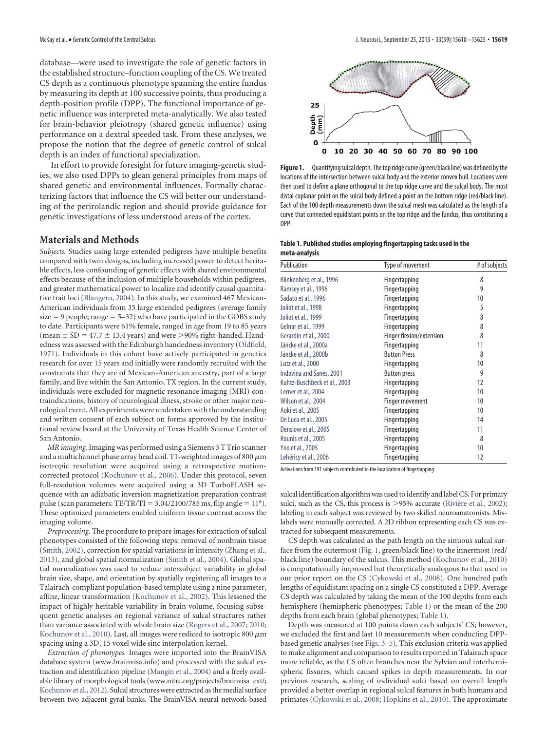database—were used to investigate the role of genetic factors in the established structure–function coupling of the CS. We treated CS depth as a continuous phenotype spanning the entire fundus by measuring its depth at 100 successive points, thus producing a depth-position profile (DPP). The functional importance of genetic influence was interpreted meta-analytically. We also tested for brain-behavior pleiotropy (shared genetic influence) using performance on a dextral speeded task. From these analyses, we propose the notion that the degree of genetic control of sulcal depth is an index of functional specialization.

In effort to provide foresight for future imaging-genetic studies, we also used DPPs to glean general principles from maps of shared genetic and environmental influences. Formally characterizing factors that influence the CS will better our understanding of the perirolandic region and should provide guidance for genetic investigations of less understood areas of the cortex.

## **Materials and Methods**

*Subjects.* Studies using large extended pedigrees have multiple benefits compared with twin designs, including increased power to detect heritable effects, less confounding of genetic effects with shared environmental effects because of the inclusion of multiple households within pedigrees, and greater mathematical power to localize and identify causal quantitative trait loci [\(Blangero, 2004\)](#page-6-4). In this study, we examined 467 Mexican-American individuals from 35 large extended pedigrees (average family  $size = 9$  people; range  $= 5 - 32$ ) who have participated in the GOBS study to date. Participants were 61% female, ranged in age from 19 to 85 years (mean  $\pm$  SD = 47.7  $\pm$  13.4 years) and were >90% right-handed. Handedness was assessed with the Edinburgh handedness inventory [\(Oldfield,](#page-7-9) [1971\)](#page-7-9). Individuals in this cohort have actively participated in genetics research for over 15 years and initially were randomly recruited with the constraints that they are of Mexican-American ancestry, part of a large family, and live within the San Antonio, TX region. In the current study, individuals were excluded for magnetic resonance imaging (MRI) contraindications, history of neurological illness, stroke or other major neurological event. All experiments were undertaken with the understanding and written consent of each subject on forms approved by the institutional review board at the University of Texas Health Science Center of San Antonio.

*MR imaging.*Imaging was performed using a Siemens 3 T Trio scanner and a multichannel phase array head coil. T1-weighted images of 800  $\mu$ m isotropic resolution were acquired using a retrospective motioncorrected protocol [\(Kochunov et al., 2006\)](#page-6-5). Under this protocol, seven full-resolution volumes were acquired using a 3D TurboFLASH sequence with an adiabatic inversion magnetization preparation contrast pulse (scan parameters: TE/TR/TI =  $3.04/2100/785$  ms, flip angle =  $11^{\circ}$ ). These optimized parameters enabled uniform tissue contrast across the imaging volume.

*Preprocessing.* The procedure to prepare images for extraction of sulcal phenotypes consisted of the following steps: removal of nonbrain tissue [\(Smith, 2002\)](#page-7-10), correction for spatial variations in intensity [\(Zhang et al.,](#page-7-11) [2013\)](#page-7-11), and global spatial normalization [\(Smith et al., 2004\)](#page-7-12). Global spatial normalization was used to reduce intersubject variability in global brain size, shape, and orientation by spatially registering all images to a Talairach-compliant population-based template using a nine parameter, affine, linear transformation [\(Kochunov et al., 2002\)](#page-6-6). This lessened the impact of highly heritable variability in brain volume, focusing subsequent genetic analyses on regional variance of sulcal structures rather than variance associated with whole brain size [\(Rogers et al., 2007; 2010;](#page-7-13) [Kochunov et al., 2010\)](#page-6-7). Last, all images were resliced to isotropic 800  $\mu$ m spacing using a 3D, 15 voxel wide sinc interpolation kernel.

*Extraction of phenotypes.* Images were imported into the BrainVISA database system [\(www.brainvisa.info\)](http://www.brainvisa.info) and processed with the sulcal extraction and identification pipeline [\(Mangin et al., 2004\)](#page-7-14) and a freely available library of morphological tools [\(www.nitrc.org/projects/brainvisa\\_ext/;](http://www.nitrc.org/projects/brainvisa_ext/) [Kochunov et al., 2012\)](#page-6-8). Sulcal structures were extracted as the medial surface between two adjacent gyral banks. The BrainVISA neural network-based



<span id="page-1-0"></span>Figure 1. Quantifying sulcal depth. The top ridge curve (green/black line) was defined by the locations of the intersection between sulcal body and the exterior convex hull. Locations were then used to define a plane orthogonal to the top ridge curve and the sulcal body. The most distal coplanar point on the sulcal body defined a point on the bottom ridge (red/black line). Each of the 100 depth measurements down the sulcal mesh was calculated as the length of a curve that connected equidistant points on the top ridge and the fundus, thus constituting a DPP.

#### <span id="page-1-1"></span>**Table 1. Published studies employing fingertapping tasks used in the meta-analysis**

| Publication<br>Type of movement<br>Blinkenberg et al., 1996<br>Fingertapping |                          | # of subjects |  |
|------------------------------------------------------------------------------|--------------------------|---------------|--|
|                                                                              |                          | 8             |  |
| Ramsey et al., 1996                                                          | Fingertapping            | 9             |  |
| Sadato et al., 1996                                                          | Fingertapping            | 10            |  |
| Joliot et al., 1998                                                          | Fingertapping            | 5             |  |
| Joliot et al., 1999                                                          | Fingertapping            | 8             |  |
| Gelnar et al., 1999                                                          | Fingertapping            | 8             |  |
| Gerardin et al., 2000                                                        | Finger flexion/extension | 8             |  |
| Jäncke et al., 2000a                                                         | Fingertapping            | 11            |  |
| Jäncke et al., 2000b                                                         | <b>Button Press</b>      | 8             |  |
| Lutz et al., 2000                                                            | Fingertapping            | 10            |  |
| Indovina and Sanes, 2001                                                     | <b>Button press</b>      | 9             |  |
| Kuhtz-Buschbeck et al., 2003                                                 | Fingertapping            | 12            |  |
| Lerner et al., 2004                                                          | Fingertapping            | 10            |  |
| Wilson et al., 2004                                                          | <b>Finger movement</b>   | 10            |  |
| Aoki et al., 2005                                                            | Fingertapping            | 10            |  |
| De Luca et al., 2005                                                         | Fingertapping            | 14            |  |
| Denslow et al., 2005                                                         | Fingertapping            | 11            |  |
| Rounis et al., 2005                                                          | Fingertapping            | 8             |  |
| Yoo et al., 2005                                                             | Fingertapping            | 10            |  |
| Lehéricy et al., 2006                                                        | Fingertapping            | 12            |  |

Activations from 191 subjects contributed to the localization of fingertapping.

sulcal identification algorithm was used to identify and label CS. For primary sulci, such as the CS, this process is  $>95\%$  accurate (Rivière et al., 2002); labeling in each subject was reviewed by two skilled neuroanatomists. Mislabels were manually corrected. A 2D ribbon representing each CS was extracted for subsequent measurements.

CS depth was calculated as the path length on the sinuous sulcal surface from the outermost [\(Fig. 1,](#page-1-0) green/black line) to the innermost (red/ black line) boundary of the sulcus. This method [\(Kochunov et al., 2010\)](#page-6-7) is computationally improved but theoretically analogous to that used in our prior report on the CS [\(Cykowski et al., 2008\)](#page-6-9). One hundred path lengths of equidistant spacing on a single CS constituted a DPP. Average CS depth was calculated by taking the mean of the 100 depths from each hemisphere (hemispheric phenotypes; [Table 1\)](#page-1-1) or the mean of the 200 depths from each brain (global phenotypes; [Table 1\)](#page-1-1).

Depth was measured at 100 points down each subjects' CS; however, we excluded the first and last 10 measurements when conducting DPPbased genetic analyses (see [Figs. 3–](#page-3-0)[5\)](#page-4-0). This exclusion criteria was applied to make alignment and comparison to results reported in Talairach space more reliable, as the CS often branches near the Sylvian and interhemispheric fissures, which caused spikes in depth measurements. In our previous research, scaling of individual sulci based on overall length provided a better overlap in regional sulcal features in both humans and primates [\(Cykowski et al., 2008;](#page-6-9) [Hopkins et al., 2010\)](#page-6-10). The approximate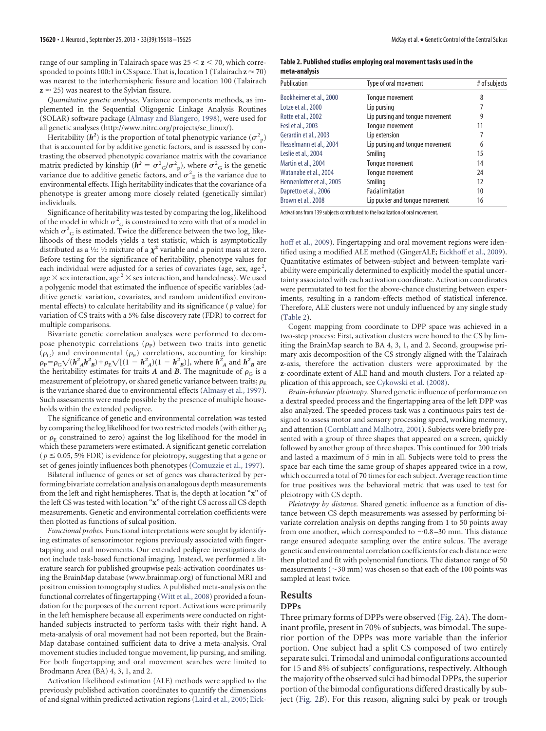range of our sampling in Talairach space was  $25 < z < 70$ , which corresponded to points 100:1 in CS space. That is, location 1 (Talairach  $z \approx 70$ ) was nearest to the interhemispheric fissure and location 100 (Talairach  $z \approx 25$ ) was nearest to the Sylvian fissure.

*Quantitative genetic analyses.* Variance components methods, as implemented in the Sequential Oligogenic Linkage Analysis Routines (SOLAR) software package [\(Almasy and Blangero, 1998\)](#page-5-2), were used for all genetic analyses [\(http://www.nitrc.org/projects/se\\_linux/\)](http://www.nitrc.org/projects/se_linux/).

Heritability  $(h^2)$  is the proportion of total phenotypic variance  $(\sigma^2$ <sub>p</sub>) that is accounted for by additive genetic factors, and is assessed by contrasting the observed phenotypic covariance matrix with the covariance matrix predicted by kinship ( $h^2 = \sigma^2$ <sub>G</sub>/ $\sigma^2$ <sub>p</sub>), where  $\sigma^2$ <sub>G</sub> is the genetic variance due to additive genetic factors, and  $\sigma^2$ <sub>E</sub> is the variance due to environmental effects. High heritability indicates that the covariance of a phenotype is greater among more closely related (genetically similar) individuals.

Significance of heritability was tested by comparing the  $\log_{e}$  likelihood of the model in which  $\sigma^2_{\rm G}$  is constrained to zero with that of a model in which  $\sigma^2_{\rm G}$  is estimated. Twice the difference between the two log<sub>e</sub> likelihoods of these models yields a test statistic, which is asymptotically distributed as a  $\frac{1}{2}$ :  $\frac{1}{2}$  mixture of a  $\chi^2$  variable and a point mass at zero. Before testing for the significance of heritability, phenotype values for each individual were adjusted for a series of covariates (age, sex, age<sup>2</sup>, age  $\times$  sex interaction, age  $^2$   $\times$  sex interaction, and handedness). We used a polygenic model that estimated the influence of specific variables (additive genetic variation, covariates, and random unidentified environmental effects) to calculate heritability and its significance (*p* value) for variation of CS traits with a 5% false discovery rate (FDR) to correct for multiple comparisons.

Bivariate genetic correlation analyses were performed to decompose phenotypic correlations  $(\rho_{\rm p})$  between two traits into genetic  $(\rho_G)$  and environmental  $(\rho_E)$  correlations, accounting for kinship:  $\rho_{\rm P} = \rho_{\rm G} \sqrt{(h^2_A h^2_B)} + \rho_{\rm E} \sqrt{[(1 - h^2_A)(1 - h^2_B)]}$ , where  $h^2_A$  and  $h^2_B$  are the heritability estimates for traits *A* and *B*. The magnitude of  $\rho_{\rm G}$  is a measurement of pleiotropy, or shared genetic variance between traits;  $\rho_{\rm E}$ is the variance shared due to environmental effects [\(Almasy et al., 1997\)](#page-5-3). Such assessments were made possible by the presence of multiple households within the extended pedigree.

The significance of genetic and environmental correlation was tested by comparing the log likelihood for two restricted models (with either  $\rho_G$ or  $\rho_{\rm E}$  constrained to zero) against the log likelihood for the model in which these parameters were estimated. A significant genetic correlation ( $p \le 0.05$ , 5% FDR) is evidence for pleiotropy, suggesting that a gene or set of genes jointly influences both phenotypes [\(Comuzzie et al., 1997\)](#page-6-24).

Bilateral influence of genes or set of genes was characterized by performing bivariate correlation analysis on analogous depth measurements from the left and right hemispheres. That is, the depth at location "**x**" of the left CS was tested with location "**x**" of the right CS across all CS depth measurements. Genetic and environmental correlation coefficients were then plotted as functions of sulcal position.

*Functional probes.* Functional interpretations were sought by identifying estimates of sensorimotor regions previously associated with fingertapping and oral movements. Our extended pedigree investigations do not include task-based functional imaging. Instead, we performed a literature search for published groupwise peak-activation coordinates using the BrainMap database [\(www.brainmap.org\)](http://www.brainmap.org) of functional MRI and positron emission tomography studies. A published meta-analysis on the functional correlates of fingertapping [\(Witt et al., 2008\)](#page-7-1) provided a foundation for the purposes of the current report. Activations were primarily in the left hemisphere because all experiments were conducted on righthanded subjects instructed to perform tasks with their right hand. A meta-analysis of oral movement had not been reported, but the Brain-Map database contained sufficient data to drive a meta-analysis. Oral movement studies included tongue movement, lip pursing, and smiling. For both fingertapping and oral movement searches were limited to Brodmann Area (BA) 4, 3, 1, and 2.

Activation likelihood estimation (ALE) methods were applied to the previously published activation coordinates to quantify the dimensions of and signal within predicted activation regions [\(Laird et al., 2005;](#page-6-25) [Eick-](#page-6-26)

<span id="page-2-0"></span>

| Table 2. Published studies employing oral movement tasks used in the |  |
|----------------------------------------------------------------------|--|
| meta-analysis                                                        |  |

| Publication               | Type of oral movement           | # of subjects |  |
|---------------------------|---------------------------------|---------------|--|
| Bookheimer et al., 2000   | <b>Tonque movement</b>          | 8             |  |
| Lotze et al., 2000        | Lip pursing                     |               |  |
| Rotte et al., 2002        | Lip pursing and tonque movement | 9             |  |
| Fesl et al., 2003         | <b>Tonque movement</b>          | 11            |  |
| Gerardin et al., 2003     | Lip extension                   | 7             |  |
| Hesselmann et al., 2004   | Lip pursing and tonque movement | 6             |  |
| Leslie et al., 2004       | Smiling                         | 15            |  |
| Martin et al., 2004       | <b>Tonque movement</b>          | 14            |  |
| Watanabe et al., 2004     | <b>Tonque movement</b>          | 24            |  |
| Hennenlotter et al., 2005 | Smiling                         | 12            |  |
| Dapretto et al., 2006     | <b>Facial imitation</b>         | 10            |  |
| Brown et al., 2008        | Lip pucker and tongue movement  | 16            |  |

Activations from 139 subjects contributed to the localization of oral movement.

[hoff et al., 2009\)](#page-6-26). Fingertapping and oral movement regions were identified using a modified ALE method (GingerALE; [Eickhoff et al., 2009\)](#page-6-26). Quantitative estimates of between-subject and between-template variability were empirically determined to explicitly model the spatial uncertainty associated with each activation coordinate. Activation coordinates were permutated to test for the above-chance clustering between experiments, resulting in a random-effects method of statistical inference. Therefore, ALE clusters were not unduly influenced by any single study [\(Table 2\)](#page-2-0).

Cogent mapping from coordinate to DPP space was achieved in a two-step process: First, activation clusters were honed to the CS by limiting the BrainMap search to BA 4, 3, 1, and 2. Second, groupwise primary axis decomposition of the CS strongly aligned with the Talairach **z**-axis, therefore the activation clusters were approximated by the **z**-coordinate extent of ALE hand and mouth clusters. For a related application of this approach, see [Cykowski et al. \(2008\).](#page-6-9)

*Brain-behavior pleiotropy.* Shared genetic influence of performance on a dextral speeded process and the fingertapping area of the left DPP was also analyzed. The speeded process task was a continuous pairs test designed to assess motor and sensory processing speed, working memory, and attention [\(Cornblatt and Malhotra, 2001\)](#page-6-27). Subjects were briefly presented with a group of three shapes that appeared on a screen, quickly followed by another group of three shapes. This continued for 200 trials and lasted a maximum of 5 min in all. Subjects were told to press the space bar each time the same group of shapes appeared twice in a row, which occurred a total of 70 times for each subject. Average reaction time for true positives was the behavioral metric that was used to test for pleiotropy with CS depth.

*Pleiotropy by distance.* Shared genetic influence as a function of distance between CS depth measurements was assessed by performing bivariate correlation analysis on depths ranging from 1 to 50 points away from one another, which corresponded to  $\sim$  0.8–30 mm. This distance range ensured adequate sampling over the entire sulcus. The average genetic and environmental correlation coefficients for each distance were then plotted and fit with polynomial functions. The distance range of 50 measurements (  $\sim$  30 mm) was chosen so that each of the 100 points was sampled at least twice.

## **Results**

### **DPPs**

Three primary forms of DPPs were observed [\(Fig. 2](#page-3-1)*A*). The dominant profile, present in 70% of subjects, was bimodal. The superior portion of the DPPs was more variable than the inferior portion. One subject had a split CS composed of two entirely separate sulci. Trimodal and unimodal configurations accounted for 15 and 8% of subjects' configurations, respectively. Although the majority of the observed sulci had bimodal DPPs, the superior portion of the bimodal configurations differed drastically by subject [\(Fig. 2](#page-3-1)*B*). For this reason, aligning sulci by peak or trough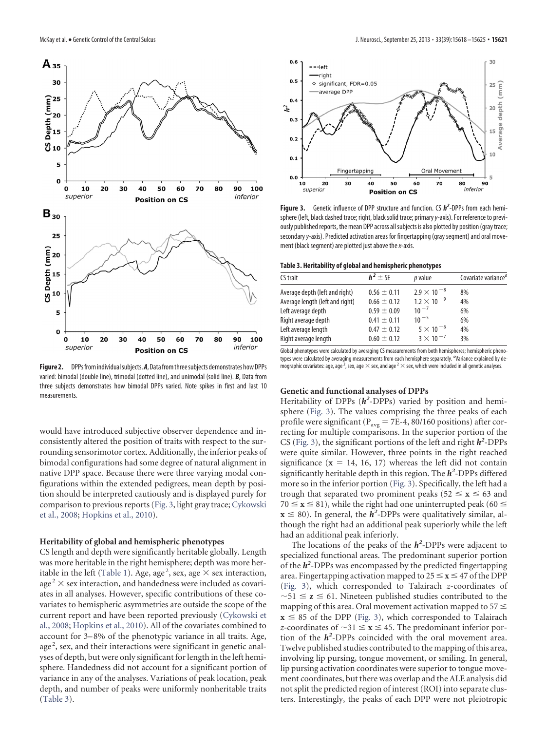

<span id="page-3-1"></span>**Figure 2.** DPPs from individual subjects. A, Data from three subjects demonstrates how DPPs varied: bimodal (double line), trimodal (dotted line), and unimodal (solid line). *B*, Data from three subjects demonstrates how bimodal DPPs varied. Note spikes in first and last 10 measurements.

would have introduced subjective observer dependence and inconsistently altered the position of traits with respect to the surrounding sensorimotor cortex. Additionally, the inferior peaks of bimodal configurations had some degree of natural alignment in native DPP space. Because there were three varying modal configurations within the extended pedigrees, mean depth by position should be interpreted cautiously and is displayed purely for comparison to previous reports [\(Fig. 3,](#page-3-0) light gray trace; [Cykowski](#page-6-9) [et al., 2008;](#page-6-9) [Hopkins et al., 2010\)](#page-6-10).

#### **Heritability of global and hemispheric phenotypes**

CS length and depth were significantly heritable globally. Length was more heritable in the right hemisphere; depth was more her-itable in the left [\(Table 1\)](#page-1-1). Age, age<sup>2</sup>, sex, age  $\times$  sex interaction, age<sup>2</sup>  $\times$  sex interaction, and handedness were included as covariates in all analyses. However, specific contributions of these covariates to hemispheric asymmetries are outside the scope of the current report and have been reported previously [\(Cykowski et](#page-6-9) [al., 2008;](#page-6-9) [Hopkins et al., 2010\)](#page-6-10). All of the covariates combined to account for 3– 8% of the phenotypic variance in all traits. Age, age<sup>2</sup>, sex, and their interactions were significant in genetic analyses of depth, but were only significant for length in the left hemisphere. Handedness did not account for a significant portion of variance in any of the analyses. Variations of peak location, peak depth, and number of peaks were uniformly nonheritable traits [\(Table 3\)](#page-1-1).



<span id="page-3-0"></span>**Figure 3.** Genetic influence of DPP structure and function. CS *h<sup>2</sup>* -DPPs from each hemisphere (left, black dashed trace; right, black solid trace; primary*y*-axis). For reference to previously published reports, the mean DPP across all subjects is also plotted by position (gray trace; secondary*y*-axis). Predicted activation areas for fingertapping (gray segment) and oral movement (black segment) are plotted just above the*x*-axis.

| Table 3. Heritability of global and hemispheric phenotypes |  |  |  |
|------------------------------------------------------------|--|--|--|
|------------------------------------------------------------|--|--|--|

| CS trait                        | $h^2 + \varsigma F$ | <i>p</i> value       | Covariate variance <sup>a</sup> |
|---------------------------------|---------------------|----------------------|---------------------------------|
| Average depth (left and right)  | $0.56 \pm 0.11$     | $2.9 \times 10^{-8}$ | 8%                              |
| Average length (left and right) | $0.66 \pm 0.12$     | $1.2 \times 10^{-9}$ | 4%                              |
| Left average depth              | $0.59 \pm 0.09$     | $10^{-7}$            | 6%                              |
| Right average depth             | $0.41 \pm 0.11$     | $10^{-5}$            | 6%                              |
| Left average length             | $0.47 \pm 0.12$     | $5 \times 10^{-6}$   | 4%                              |
| Right average length            | $0.60 \pm 0.12$     | $3 \times 10^{-7}$   | 3%                              |

Global phenotypes were calculated by averaging CS measurements from both hemispheres; hemispheric phenotypes were calculated by averaging measurements from each hemisphere separately. <sup>*o*</sup>Variance explained by demographic covariates: age, age  $^2$ , sex, age  $\times$  sex, and age  $^2\times$  sex, which were included in all genetic analyses.

#### **Genetic and functional analyses of DPPs**

Heritability of DPPs (h<sup>2</sup>-DPPs) varied by position and hemisphere [\(Fig. 3\)](#page-3-0). The values comprising the three peaks of each profile were significant ( $P_{avg} = 7E-4$ , 80/160 positions) after correcting for multiple comparisons. In the superior portion of the CS [\(Fig. 3\)](#page-3-0), the significant portions of the left and right  $h^2$ -DPPs were quite similar. However, three points in the right reached significance  $(x = 14, 16, 17)$  whereas the left did not contain significantly heritable depth in this region. The  $h^2$ -DPPs differed more so in the inferior portion [\(Fig. 3\)](#page-3-0). Specifically, the left had a trough that separated two prominent peaks ( $52 \le x \le 63$  and  $70 \le x \le 81$ ), while the right had one uninterrupted peak (60  $\le$  $x \le 80$ ). In general, the  $h^2$ -DPPs were qualitatively similar, although the right had an additional peak superiorly while the left had an additional peak inferiorly.

The locations of the peaks of the *h<sup>2</sup>* -DPPs were adjacent to specialized functional areas. The predominant superior portion of the *h<sup>2</sup>* -DPPs was encompassed by the predicted fingertapping area. Fingertapping activation mapped to  $25 \le x \le 47$  of the DPP [\(Fig. 3\)](#page-3-0), which corresponded to Talairach *z*-coordinates of  $~51 \le z \le 61$ . Nineteen published studies contributed to the mapping of this area. Oral movement activation mapped to  $57 \le$  $x \leq 85$  of the DPP [\(Fig. 3\)](#page-3-0), which corresponded to Talairach *z*-coordinates of  $\sim$ 31  $\leq$  **x**  $\leq$  45. The predominant inferior portion of the *h<sup>2</sup>* -DPPs coincided with the oral movement area. Twelve published studies contributed to the mapping of this area, involving lip pursing, tongue movement, or smiling. In general, lip pursing activation coordinates were superior to tongue movement coordinates, but there was overlap and the ALE analysis did not split the predicted region of interest (ROI) into separate clusters. Interestingly, the peaks of each DPP were not pleiotropic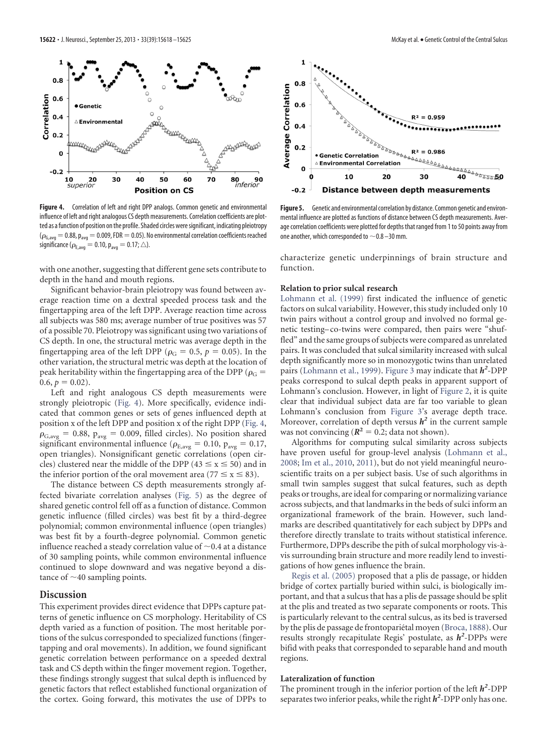

<span id="page-4-1"></span>**Figure 4.** Correlation of left and right DPP analogs. Common genetic and environmental influence of left and right analogous CS depth measurements. Correlation coefficients are plotted as a function of position on the profile. Shaded circles were significant, indicating pleiotropy  $(\rho_{G,avg}=0.88$ ,  $p_{avg}=0.009$ , FDR = 0.05). No environmental correlation coefficients reached significance ( $\rho_{\text{E,avg}} = 0.10$ ,  $p_{\text{avg}} = 0.17$ ;  $\triangle$ ).

with one another, suggesting that different gene sets contribute to depth in the hand and mouth regions.

Significant behavior-brain pleiotropy was found between average reaction time on a dextral speeded process task and the fingertapping area of the left DPP. Average reaction time across all subjects was 580 ms; average number of true positives was 57 of a possible 70. Pleiotropy was significant using two variations of CS depth. In one, the structural metric was average depth in the fingertapping area of the left DPP ( $\rho$ <sup>G</sup> = 0.5, *p* = 0.05). In the other variation, the structural metric was depth at the location of peak heritability within the fingertapping area of the DPP ( $\rho_G$  =  $0.6, p = 0.02$ .

Left and right analogous CS depth measurements were strongly pleiotropic [\(Fig. 4\)](#page-4-1). More specifically, evidence indicated that common genes or sets of genes influenced depth at position x of the left DPP and position x of the right DPP [\(Fig. 4,](#page-4-1)  $\rho_{\text{G,avg}} = 0.88$ ,  $p_{\text{avg}} = 0.009$ , filled circles). No position shared significant environmental influence ( $\rho_{E,\text{avg}} = 0.10$ ,  $p_{\text{avg}} = 0.17$ , open triangles). Nonsignificant genetic correlations (open circles) clustered near the middle of the DPP ( $43 \le x \le 50$ ) and in the inferior portion of the oral movement area (77  $\leq$  x  $\leq$  83).

The distance between CS depth measurements strongly affected bivariate correlation analyses [\(Fig. 5\)](#page-4-0) as the degree of shared genetic control fell off as a function of distance. Common genetic influence (filled circles) was best fit by a third-degree polynomial; common environmental influence (open triangles) was best fit by a fourth-degree polynomial. Common genetic influence reached a steady correlation value of  $\sim$ 0.4 at a distance of 30 sampling points, while common environmental influence continued to slope downward and was negative beyond a distance of  $\sim$  40 sampling points.

## **Discussion**

This experiment provides direct evidence that DPPs capture patterns of genetic influence on CS morphology. Heritability of CS depth varied as a function of position. The most heritable portions of the sulcus corresponded to specialized functions (fingertapping and oral movements). In addition, we found significant genetic correlation between performance on a speeded dextral task and CS depth within the finger movement region. Together, these findings strongly suggest that sulcal depth is influenced by genetic factors that reflect established functional organization of the cortex. Going forward, this motivates the use of DPPs to



<span id="page-4-0"></span>**Figure 5.** Genetic and environmental correlation by distance. Common genetic and environmental influence are plotted as functions of distance between CS depth measurements. Average correlation coefficients were plotted for depths that ranged from 1 to 50 points away from one another, which corresponded to  $\sim$  0.8 –30 mm.

characterize genetic underpinnings of brain structure and function.

#### **Relation to prior sulcal research**

[Lohmann et al. \(1999\)](#page-7-3) first indicated the influence of genetic factors on sulcal variability. However, this study included only 10 twin pairs without a control group and involved no formal genetic testing– co-twins were compared, then pairs were "shuffled" and the same groups of subjects were compared as unrelated pairs. It was concluded that sulcal similarity increased with sulcal depth significantly more so in monozygotic twins than unrelated pairs [\(Lohmann et al., 1999\)](#page-7-3). [Figure 3](#page-3-0) may indicate that *h*<sup>2</sup>-DPP peaks correspond to sulcal depth peaks in apparent support of Lohmann's conclusion. However, in light of [Figure 2,](#page-3-1) it is quite clear that individual subject data are far too variable to glean Lohmann's conclusion from [Figure 3'](#page-3-0)s average depth trace. Moreover, correlation of depth versus  $h^2$  in the current sample was not convincing ( $\mathbb{R}^2 = 0.2$ ; data not shown).

Algorithms for computing sulcal similarity across subjects have proven useful for group-level analysis [\(Lohmann et al.,](#page-7-25) [2008;](#page-7-25) [Im et al., 2010,](#page-6-36) [2011\)](#page-6-37), but do not yield meaningful neuroscientific traits on a per subject basis. Use of such algorithms in small twin samples suggest that sulcal features, such as depth peaks or troughs, are ideal for comparing or normalizing variance across subjects, and that landmarks in the beds of sulci inform an organizational framework of the brain. However, such landmarks are described quantitatively for each subject by DPPs and therefore directly translate to traits without statistical inference. Furthermore, DPPs describe the pith of sulcal morphology vis-a` vis surrounding brain structure and more readily lend to investigations of how genes influence the brain.

[Regis et al. \(2005\)](#page-7-26) proposed that a plis de passage, or hidden bridge of cortex partially buried within sulci, is biologically important, and that a sulcus that has a plis de passage should be split at the plis and treated as two separate components or roots. This is particularly relevant to the central sulcus, as its bed is traversed by the plis de passage de frontopariétal moyen [\(Broca, 1888\)](#page-6-38). Our results strongly recapitulate Regis' postulate, as *h<sup>2</sup>* -DPPs were bifid with peaks that corresponded to separable hand and mouth regions.

#### **Lateralization of function**

The prominent trough in the inferior portion of the left *h<sup>2</sup>* -DPP separates two inferior peaks, while the right *h<sup>2</sup>* -DPP only has one.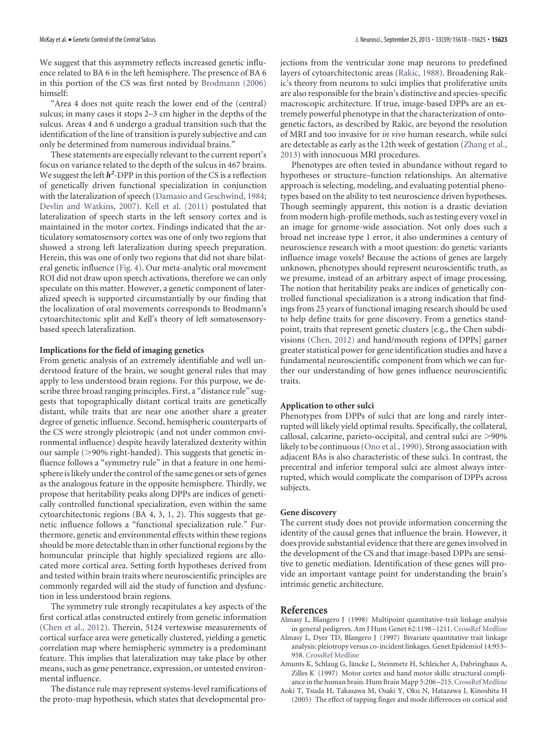We suggest that this asymmetry reflects increased genetic influence related to BA 6 in the left hemisphere. The presence of BA 6 in this portion of the CS was first noted by [Brodmann \(2006\)](#page-6-39) himself:

"Area 4 does not quite reach the lower end of the (central) sulcus; in many cases it stops 2–3 cm higher in the depths of the sulcus. Areas 4 and 6 undergo a gradual transition such that the identification of the line of transition is purely subjective and can only be determined from numerous individual brains."

These statements are especially relevant to the current report's focus on variance related to the depth of the sulcus in 467 brains. We suggest the left  $h^2$ -DPP in this portion of the CS is a reflection of genetically driven functional specialization in conjunction with the lateralization of speech [\(Damasio and Geschwind, 1984;](#page-6-40) [Devlin and Watkins, 2007\)](#page-6-41). [Kell et al. \(2011\)](#page-6-42) postulated that lateralization of speech starts in the left sensory cortex and is maintained in the motor cortex. Findings indicated that the articulatory somatosensory cortex was one of only two regions that showed a strong left lateralization during speech preparation. Herein, this was one of only two regions that did not share bilateral genetic influence [\(Fig. 4\)](#page-4-1). Our meta-analytic oral movement ROI did not draw upon speech activations, therefore we can only speculate on this matter. However, a genetic component of lateralized speech is supported circumstantially by our finding that the localization of oral movements corresponds to Brodmann's cytoarchitectonic split and Kell's theory of left somatosensorybased speech lateralization.

#### **Implications for the field of imaging genetics**

From genetic analysis of an extremely identifiable and well understood feature of the brain, we sought general rules that may apply to less understood brain regions. For this purpose, we describe three broad ranging principles. First, a "distance rule" suggests that topographically distant cortical traits are genetically distant, while traits that are near one another share a greater degree of genetic influence. Second, hemispheric counterparts of the CS were strongly pleiotropic (and not under common environmental influence) despite heavily lateralized dexterity within our sample (>90% right-handed). This suggests that genetic influence follows a "symmetry rule" in that a feature in one hemisphere is likely under the control of the same genes or sets of genes as the analogous feature in the opposite hemisphere. Thirdly, we propose that heritability peaks along DPPs are indices of genetically controlled functional specialization, even within the same cytoarchitectonic regions (BA 4, 3, 1, 2). This suggests that genetic influence follows a "functional specialization rule." Furthermore, genetic and environmental effects within these regions should be more detectable than in other functional regions by the homuncular principle that highly specialized regions are allocated more cortical area. Setting forth hypotheses derived from and tested within brain traits where neuroscientific principles are commonly regarded will aid the study of function and dysfunction in less understood brain regions.

The symmetry rule strongly recapitulates a key aspects of the first cortical atlas constructed entirely from genetic information [\(Chen et al., 2012\)](#page-6-43). Therein, 5124 vertexwise measurements of cortical surface area were genetically clustered, yielding a genetic correlation map where hemispheric symmetry is a predominant feature. This implies that lateralization may take place by other means, such as gene penetrance, expression, or untested environmental influence.

The distance rule may represent systems-level ramifications of the proto-map hypothesis, which states that developmental projections from the ventricular zone map neurons to predefined layers of cytoarchitectonic areas [\(Rakic, 1988\)](#page-7-27). Broadening Rakic's theory from neurons to sulci implies that proliferative units are also responsible for the brain's distinctive and species-specific macroscopic architecture. If true, image-based DPPs are an extremely powerful phenotype in that the characterization of ontogenetic factors, as described by Rakic, are beyond the resolution of MRI and too invasive for *in vivo* human research, while sulci are detectable as early as the 12th week of gestation [\(Zhang et al.,](#page-7-11) [2013\)](#page-7-11) with innocuous MRI procedures.

Phenotypes are often tested in abundance without regard to hypotheses or structure–function relationships. An alternative approach is selecting, modeling, and evaluating potential phenotypes based on the ability to test neuroscience driven hypotheses. Though seemingly apparent, this notion is a drastic deviation from modern high-profile methods, such as testing every voxel in an image for genome-wide association. Not only does such a broad net increase type 1 error, it also undermines a century of neuroscience research with a moot question: do genetic variants influence image voxels? Because the actions of genes are largely unknown, phenotypes should represent neuroscientific truth, as we presume, instead of an arbitrary aspect of image processing. The notion that heritability peaks are indices of genetically controlled functional specialization is a strong indication that findings from 25 years of functional imaging research should be used to help define traits for gene discovery. From a genetics standpoint, traits that represent genetic clusters [e.g., the Chen subdivisions [\(Chen, 2012\)](#page-6-43) and hand/mouth regions of DPPs] garner greater statistical power for gene identification studies and have a fundamental neuroscientific component from which we can further our understanding of how genes influence neuroscientific traits.

#### **Application to other sulci**

Phenotypes from DPPs of sulci that are long and rarely interrupted will likely yield optimal results. Specifically, the collateral, callosal, calcarine, parieto-occipital, and central sulci are  $>$ 90% likely to be continuous [\(Ono et al., 1990\)](#page-7-28). Strong association with adjacent BAs is also characteristic of these sulci. In contrast, the precentral and inferior temporal sulci are almost always interrupted, which would complicate the comparison of DPPs across subjects.

#### **Gene discovery**

The current study does not provide information concerning the identity of the causal genes that influence the brain. However, it does provide substantial evidence that there are genes involved in the development of the CS and that image-based DPPs are sensitive to genetic mediation. Identification of these genes will provide an important vantage point for understanding the brain's intrinsic genetic architecture.

#### <span id="page-5-2"></span>**References**

- Almasy L, Blangero J (1998) Multipoint quantitative-trait linkage analysis in general pedigrees. Am J Hum Genet 62:1198 –1211. [CrossRef](http://dx.doi.org/10.1086/301844) [Medline](http://www.ncbi.nlm.nih.gov/pubmed/9545414)
- <span id="page-5-3"></span>Almasy L, Dyer TD, Blangero J (1997) Bivariate quantitative trait linkage analysis: pleiotropy versus co-incident linkages. Genet Epidemiol 14:953– 958. [CrossRef](http://dx.doi.org/10.1002/(SICI)1098-2272(1997)14:6<953::AID-GEPI65>3.0.CO%3B2-K) [Medline](http://www.ncbi.nlm.nih.gov/pubmed/9433606)
- <span id="page-5-0"></span>Amunts K, Schlaug G, Jäncke L, Steinmetz H, Schleicher A, Dabringhaus A, Zilles K (1997) Motor cortex and hand motor skills: structural compliance in the human brain. Hum Brain Mapp 5:206 –215. [CrossRef](http://dx.doi.org/10.1002/(SICI)1097-0193(1997)5:3<206::AID-HBM5>3.0.CO%3B2-7) [Medline](http://www.ncbi.nlm.nih.gov/pubmed/20408216)
- <span id="page-5-1"></span>Aoki T, Tsuda H, Takasawa M, Osaki Y, Oku N, Hatazawa J, Kinoshita H (2005) The effect of tapping finger and mode differences on cortical and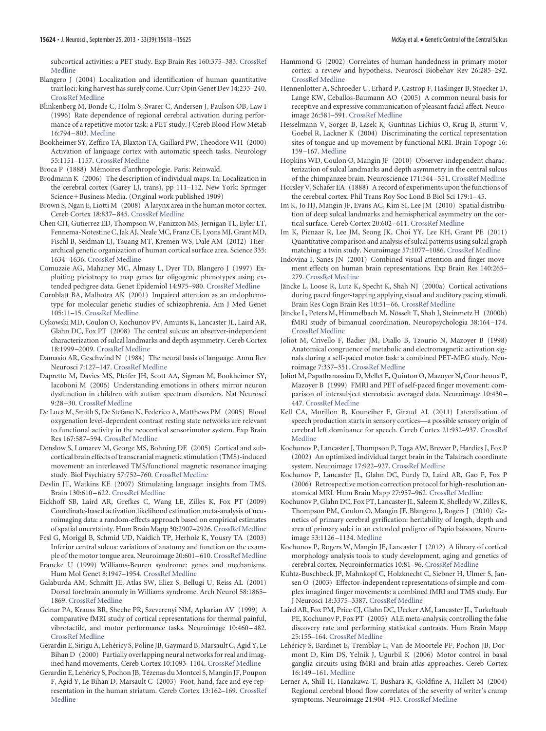subcortical activities: a PET study. Exp Brain Res 160:375–383. [CrossRef](http://dx.doi.org/10.1007/s00221-004-2008-9) [Medline](http://www.ncbi.nlm.nih.gov/pubmed/15368088)

- <span id="page-6-32"></span><span id="page-6-4"></span>Blangero J (2004) Localization and identification of human quantitative trait loci: king harvest has surely come. Curr Opin Genet Dev 14:233–240. [CrossRef](http://dx.doi.org/10.1016/j.gde.2004.04.009) [Medline](http://www.ncbi.nlm.nih.gov/pubmed/15172664)
- <span id="page-6-11"></span>Blinkenberg M, Bonde C, Holm S, Svarer C, Andersen J, Paulson OB, Law I (1996) Rate dependence of regional cerebral activation during performance of a repetitive motor task: a PET study. J Cereb Blood Flow Metab 16:794 – 803. [Medline](http://www.ncbi.nlm.nih.gov/pubmed/8784224)
- <span id="page-6-28"></span>Bookheimer SY, Zeffiro TA, Blaxton TA, Gaillard PW, Theodore WH (2000) Activation of language cortex with automatic speech tasks. Neurology 55:1151–1157. [CrossRef](http://dx.doi.org/10.1212/WNL.55.8.1151) [Medline](http://www.ncbi.nlm.nih.gov/pubmed/11071493)

- <span id="page-6-39"></span>Brodmann K (2006) The description of individual maps. In: Localization in the cerebral cortex (Garey LJ, trans), pp 111–112. New York: Springer Science+Business Media. (Original work published 1909)
- <span id="page-6-35"></span>Brown S, Ngan E, Liotti M (2008) A larynx area in the human motor cortex. Cereb Cortex 18:837– 845. [CrossRef](http://dx.doi.org/10.1093/cercor/bhm131) [Medline](http://www.ncbi.nlm.nih.gov/pubmed/17652461)
- <span id="page-6-43"></span>Chen CH, Gutierrez ED, Thompson W, Panizzon MS, Jernigan TL, Eyler LT, Fennema-Notestine C, Jak AJ, Neale MC, Franz CE, Lyons MJ, Grant MD, Fischl B, Seidman LJ, Tsuang MT, Kremen WS, Dale AM (2012) Hierarchical genetic organization of human cortical surface area. Science 335: 1634 –1636. [CrossRef](http://dx.doi.org/10.1126/science.1215330) [Medline](http://www.ncbi.nlm.nih.gov/pubmed/22461613)
- <span id="page-6-24"></span>Comuzzie AG, Mahaney MC, Almasy L, Dyer TD, Blangero J (1997) Exploiting pleiotropy to map genes for oligogenic phenotypes using extended pedigree data. Genet Epidemiol 14:975–980. [CrossRef](http://dx.doi.org/10.1002/(SICI)1098-2272(1997)14:6<975::AID-GEPI69>3.0.CO%3B2-I) [Medline](http://www.ncbi.nlm.nih.gov/pubmed/9433610)
- <span id="page-6-27"></span>Cornblatt BA, Malhotra AK (2001) Impaired attention as an endophenotype for molecular genetic studies of schizophrenia. Am J Med Genet 105:11–15. [CrossRef](http://dx.doi.org/10.1002/1096-8628(20010108)105:1<11::AID-AJMG1045>3.0.CO%3B2-G) [Medline](http://www.ncbi.nlm.nih.gov/pubmed/11424979)
- <span id="page-6-9"></span>Cykowski MD, Coulon O, Kochunov PV, Amunts K, Lancaster JL, Laird AR, Glahn DC, Fox PT (2008) The central sulcus: an observer-independent characterization of sulcal landmarks and depth asymmetry. Cereb Cortex 18:1999 –2009. [CrossRef](http://dx.doi.org/10.1093/cercor/bhm224) [Medline](http://www.ncbi.nlm.nih.gov/pubmed/18071195)
- <span id="page-6-40"></span>Damasio AR, Geschwind N (1984) The neural basis of language. Annu Rev Neurosci 7:127–147. [CrossRef](http://dx.doi.org/10.1146/annurev.ne.07.030184.001015) [Medline](http://www.ncbi.nlm.nih.gov/pubmed/6370077)
- <span id="page-6-34"></span>Dapretto M, Davies MS, Pfeifer JH, Scott AA, Sigman M, Bookheimer SY, Iacoboni M (2006) Understanding emotions in others: mirror neuron dysfunction in children with autism spectrum disorders. Nat Neurosci 9:28 –30. [CrossRef](http://dx.doi.org/10.1038/nn1611) [Medline](http://www.ncbi.nlm.nih.gov/pubmed/16327784)
- <span id="page-6-21"></span>De Luca M, Smith S, De Stefano N, Federico A, Matthews PM (2005) Blood oxygenation level-dependent contrast resting state networks are relevant to functional activity in the neocortical sensorimotor system. Exp Brain Res 167:587–594. [CrossRef](http://dx.doi.org/10.1007/s00221-005-0059-1) [Medline](http://www.ncbi.nlm.nih.gov/pubmed/16284751)
- <span id="page-6-22"></span>Denslow S, Lomarev M, George MS, Bohning DE (2005) Cortical and subcortical brain effects of transcranial magnetic stimulation (TMS)-induced movement: an interleaved TMS/functional magnetic resonance imaging study. Biol Psychiatry 57:752–760. [CrossRef](http://dx.doi.org/10.1016/j.biopsych.2004.12.017) [Medline](http://www.ncbi.nlm.nih.gov/pubmed/15820232)
- <span id="page-6-41"></span>Devlin JT, Watkins KE (2007) Stimulating language: insights from TMS. Brain 130:610-622. [CrossRef](http://dx.doi.org/10.1093/brain/awl331) [Medline](http://www.ncbi.nlm.nih.gov/pubmed/17138570)
- <span id="page-6-26"></span>Eickhoff SB, Laird AR, Grefkes C, Wang LE, Zilles K, Fox PT (2009) Coordinate-based activation likelihood estimation meta-analysis of neuroimaging data: a random-effects approach based on empirical estimates of spatial uncertainty. Hum Brain Mapp 30:2907–2926.[CrossRef](http://dx.doi.org/10.1002/hbm.20718) [Medline](http://www.ncbi.nlm.nih.gov/pubmed/19172646)
- <span id="page-6-29"></span>Fesl G, Moriggl B, Schmid UD, Naidich TP, Herholz K, Yousry TA (2003) Inferior central sulcus: variations of anatomy and function on the example of the motor tongue area. Neuroimage 20:601– 610. [CrossRef](http://dx.doi.org/10.1016/S1053-8119(03)00299-4) [Medline](http://www.ncbi.nlm.nih.gov/pubmed/14527621)
- <span id="page-6-3"></span>Francke U (1999) Williams-Beuren syndrome: genes and mechanisms. Hum Mol Genet 8:1947–1954. [CrossRef](http://dx.doi.org/10.1093/hmg/8.10.1947) [Medline](http://www.ncbi.nlm.nih.gov/pubmed/10469848)
- <span id="page-6-2"></span>Galaburda AM, Schmitt JE, Atlas SW, Eliez S, Bellugi U, Reiss AL (2001) Dorsal forebrain anomaly in Williams syndrome. Arch Neurol 58:1865– 1869. [CrossRef](http://dx.doi.org/10.1001/archneur.58.11.1865) [Medline](http://www.ncbi.nlm.nih.gov/pubmed/11708996)
- <span id="page-6-14"></span>Gelnar PA, Krauss BR, Sheehe PR, Szeverenyi NM, Apkarian AV (1999) A comparative fMRI study of cortical representations for thermal painful, vibrotactile, and motor performance tasks. Neuroimage 10:460 – 482. [CrossRef](http://dx.doi.org/10.1006/nimg.1999.0482) [Medline](http://www.ncbi.nlm.nih.gov/pubmed/10493903)
- <span id="page-6-15"></span>Gerardin E, Sirigu A, Lehéricy S, Poline JB, Gaymard B, Marsault C, Agid Y, Le Bihan D (2000) Partially overlapping neural networks for real and imagined hand movements. Cereb Cortex 10:1093–1104. [CrossRef](http://dx.doi.org/10.1093/cercor/10.11.1093) [Medline](http://www.ncbi.nlm.nih.gov/pubmed/11053230)
- <span id="page-6-30"></span>Gerardin E, Lehéricy S, Pochon JB, Tézenas du Montcel S, Mangin JF, Poupon F, Agid Y, Le Bihan D, Marsault C (2003) Foot, hand, face and eye representation in the human striatum. Cereb Cortex 13:162–169. [CrossRef](http://dx.doi.org/10.1093/cercor/13.2.162) [Medline](http://www.ncbi.nlm.nih.gov/pubmed/12507947)
- <span id="page-6-1"></span>Hammond G (2002) Correlates of human handedness in primary motor cortex: a review and hypothesis. Neurosci Biobehav Rev 26:285–292. [CrossRef](http://dx.doi.org/10.1016/S0149-7634(02)00003-9) [Medline](http://www.ncbi.nlm.nih.gov/pubmed/12034131)
- <span id="page-6-33"></span>Hennenlotter A, Schroeder U, Erhard P, Castrop F, Haslinger B, Stoecker D, Lange KW, Ceballos-Baumann AO (2005) A common neural basis for receptive and expressive communication of pleasant facial affect. Neuroimage 26:581–591. [CrossRef](http://dx.doi.org/10.1016/j.neuroimage.2005.01.057) [Medline](http://www.ncbi.nlm.nih.gov/pubmed/15907315)
- <span id="page-6-31"></span>Hesselmann V, Sorger B, Lasek K, Guntinas-Lichius O, Krug B, Sturm V, Goebel R, Lackner K (2004) Discriminating the cortical representation sites of tongue and up movement by functional MRI. Brain Topogr 16: 159 –167. [Medline](http://www.ncbi.nlm.nih.gov/pubmed/15162913)
- <span id="page-6-10"></span>Hopkins WD, Coulon O, Mangin JF (2010) Observer-independent characterization of sulcal landmarks and depth asymmetry in the central sulcus of the chimpanzee brain. Neuroscience 171:544 –551. [CrossRef](http://dx.doi.org/10.1016/j.neuroscience.2010.07.018) [Medline](http://www.ncbi.nlm.nih.gov/pubmed/20813164)
- <span id="page-6-0"></span>Horsley V, Schafer EA (1888) A record of experiments upon the functions of the cerebral cortex. Phil Trans Roy Soc Lond B Biol Sci 179:1– 45.
- <span id="page-6-36"></span>Im K, Jo HJ, Mangin JF, Evans AC, Kim SI, Lee JM (2010) Spatial distribution of deep sulcal landmarks and hemispherical asymmetry on the cortical surface. Cereb Cortex 20:602– 611. [CrossRef](http://dx.doi.org/10.1093/cercor/bhp127) [Medline](http://www.ncbi.nlm.nih.gov/pubmed/19561060)
- <span id="page-6-37"></span>Im K, Pienaar R, Lee JM, Seong JK, Choi YY, Lee KH, Grant PE (2011) Quantitative comparison and analysis of sulcal patterns using sulcal graph matching: a twin study. Neuroimage 57:1077–1086. [CrossRef](http://dx.doi.org/10.1016/j.neuroimage.2011.04.062) [Medline](http://www.ncbi.nlm.nih.gov/pubmed/21596139)
- <span id="page-6-18"></span>Indovina I, Sanes JN (2001) Combined visual attention and finger movement effects on human brain representations. Exp Brain Res 140:265– 279. [CrossRef](http://dx.doi.org/10.1007/s002210100796) [Medline](http://www.ncbi.nlm.nih.gov/pubmed/11681302)
- <span id="page-6-16"></span>Jäncke L, Loose R, Lutz K, Specht K, Shah NJ (2000a) Cortical activations during paced finger-tapping applying visual and auditory pacing stimuli. Brain Res Cogn Brain Res 10:51– 66. [CrossRef](http://dx.doi.org/10.1016/S0926-6410(00)00022-7) [Medline](http://www.ncbi.nlm.nih.gov/pubmed/10978692)
- <span id="page-6-17"></span>Jäncke L, Peters M, Himmelbach M, Nösselt T, Shah J, Steinmetz H (2000b) fMRI study of bimanual coordination. Neuropsychologia 38:164 –174. [CrossRef](http://dx.doi.org/10.1016/S0028-3932(99)00062-7) [Medline](http://www.ncbi.nlm.nih.gov/pubmed/10660227)
- <span id="page-6-12"></span>Joliot M, Crivello F, Badier JM, Diallo B, Tzourio N, Mazoyer B (1998) Anatomical congruence of metabolic and electromagnetic activation signals during a self-paced motor task: a combined PET-MEG study. Neuroimage 7:337–351. [CrossRef](http://dx.doi.org/10.1006/nimg.1998.0333) [Medline](http://www.ncbi.nlm.nih.gov/pubmed/9626674)
- <span id="page-6-13"></span>Joliot M, Papathanassiou D, Mellet E, Quinton O, Mazoyer N, Courtheoux P, Mazoyer B (1999) FMRI and PET of self-paced finger movement: comparison of intersubject stereotaxic averaged data. Neuroimage 10:430 – 447. [CrossRef](http://dx.doi.org/10.1006/nimg.1999.0483) [Medline](http://www.ncbi.nlm.nih.gov/pubmed/10493901)
- <span id="page-6-42"></span>Kell CA, Morillon B, Kouneiher F, Giraud AL (2011) Lateralization of speech production starts in sensory cortices—a possible sensory origin of cerebral left dominance for speech. Cereb Cortex 21:932–937. [CrossRef](http://dx.doi.org/10.1093/cercor/bhq167) [Medline](http://www.ncbi.nlm.nih.gov/pubmed/20833698)
- <span id="page-6-6"></span>Kochunov P, Lancaster J, Thompson P, Toga AW, Brewer P, Hardies J, Fox P (2002) An optimized individual target brain in the Talairach coordinate system. Neuroimage 17:922–927. [CrossRef](http://dx.doi.org/10.1006/nimg.2002.1084) [Medline](http://www.ncbi.nlm.nih.gov/pubmed/12377166)
- <span id="page-6-5"></span>Kochunov P, Lancaster JL, Glahn DC, Purdy D, Laird AR, Gao F, Fox P (2006) Retrospective motion correction protocol for high-resolution anatomical MRI. Hum Brain Mapp 27:957–962. [CrossRef](http://dx.doi.org/10.1002/hbm.20235) [Medline](http://www.ncbi.nlm.nih.gov/pubmed/16628607)
- <span id="page-6-7"></span>Kochunov P, Glahn DC, Fox PT, Lancaster JL, Saleem K, Shelledy W, Zilles K, Thompson PM, Coulon O, Mangin JF, Blangero J, Rogers J (2010) Genetics of primary cerebral gyrification: heritability of length, depth and area of primary sulci in an extended pedigree of Papio baboons. Neuroimage 53:1126 –1134. [Medline](http://www.ncbi.nlm.nih.gov/pubmed/20035879)
- <span id="page-6-8"></span>Kochunov P, Rogers W, Mangin JF, Lancaster J (2012) A library of cortical morphology analysis tools to study development, aging and genetics of cerebral cortex. Neuroinformatics 10:81–96. [CrossRef](http://dx.doi.org/10.1007/s12021-011-9127-9) [Medline](http://www.ncbi.nlm.nih.gov/pubmed/21698393)
- <span id="page-6-19"></span>Kuhtz-Buschbeck JP, Mahnkopf C, Holzknecht C, Siebner H, Ulmer S, Jansen O (2003) Effector-independent representations of simple and complex imagined finger movements: a combined fMRI and TMS study. Eur J Neurosci 18:3375–3387. [CrossRef](http://dx.doi.org/10.1111/j.1460-9568.2003.03066.x) [Medline](http://www.ncbi.nlm.nih.gov/pubmed/14686911)
- <span id="page-6-25"></span>Laird AR, Fox PM, Price CJ, Glahn DC, Uecker AM, Lancaster JL, Turkeltaub PE, Kochunov P, Fox PT (2005) ALE meta-analysis: controlling the false discovery rate and performing statistical contrasts. Hum Brain Mapp 25:155–164. [CrossRef](http://dx.doi.org/10.1002/hbm.20136) [Medline](http://www.ncbi.nlm.nih.gov/pubmed/15846811)
- <span id="page-6-23"></span>Lehéricy S, Bardinet E, Tremblay L, Van de Moortele PF, Pochon JB, Dormont D, Kim DS, Yelnik J, Ugurbil K (2006) Motor control in basal ganglia circuits using fMRI and brain atlas approaches. Cereb Cortex 16:149 –161. [Medline](http://www.ncbi.nlm.nih.gov/pubmed/15858164)
- <span id="page-6-20"></span>Lerner A, Shill H, Hanakawa T, Bushara K, Goldfine A, Hallett M (2004) Regional cerebral blood flow correlates of the severity of writer's cramp symptoms. Neuroimage 21:904 –913. [CrossRef](http://dx.doi.org/10.1016/j.neuroimage.2003.10.019) [Medline](http://www.ncbi.nlm.nih.gov/pubmed/15006657)

<span id="page-6-38"></span>Broca P (1888) Mémoires d'anthropologie. Paris: Reinwald.